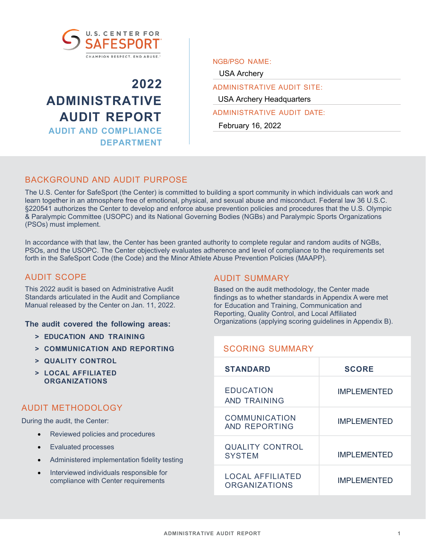

**2022 ADMINISTRATIVE AUDIT REPORT AUDIT AND COMPLIANCE DEPARTMENT** NGB/PSO NAME:

USA Archery

ADMINISTRATIVE AUDIT SITE: USA Archery Headquarters

ADMINISTRATIVE AUDIT DATE:

February 16, 2022

# BACKGROUND AND AUDIT PURPOSE

The U.S. Center for SafeSport (the Center) is committed to building a sport community in which individuals can work and learn together in an atmosphere free of emotional, physical, and sexual abuse and misconduct. Federal law 36 U.S.C. §220541 authorizes the Center to develop and enforce abuse prevention policies and procedures that the U.S. Olympic & Paralympic Committee (USOPC) and its National Governing Bodies (NGBs) and Paralympic Sports Organizations (PSOs) must implement.

In accordance with that law, the Center has been granted authority to complete regular and random audits of NGBs, PSOs, and the USOPC. The Center objectively evaluates adherence and level of compliance to the requirements set forth in the SafeSport Code (the Code) and the Minor Athlete Abuse Prevention Policies (MAAPP).

# AUDIT SCOPE

This 2022 audit is based on Administrative Audit Standards articulated in the Audit and Compliance Manual released by the Center on Jan. 11, 2022.

**The audit covered the following areas:**

- **> EDUCATION AND TRAINING**
- **> COMMUNICATION AND REPORTING**
- **> QUALITY CONTROL**
- **> LOCAL AFFILIATED ORGANIZATIONS**

# AUDIT METHODOLOGY

During the audit, the Center:

- Reviewed policies and procedures
- Evaluated processes
- Administered implementation fidelity testing
- Interviewed individuals responsible for compliance with Center requirements

# AUDIT SUMMARY

Based on the audit methodology, the Center made findings as to whether standards in Appendix A were met for Education and Training, Communication and Reporting, Quality Control, and Local Affiliated Organizations (applying scoring guidelines in Appendix B).

| <b>SCORING SUMMARY</b>                          |                    |
|-------------------------------------------------|--------------------|
| <b>STANDARD</b>                                 | <b>SCORE</b>       |
| <b>EDUCATION</b><br>AND TRAINING                | <b>IMPLEMENTED</b> |
| <b>COMMUNICATION</b><br>AND REPORTING           | <b>IMPLEMENTED</b> |
| <b>QUALITY CONTROL</b><br><b>SYSTEM</b>         | <b>IMPLEMENTED</b> |
| <b>LOCAL AFFILIATED</b><br><b>ORGANIZATIONS</b> | <b>IMPLEMENTED</b> |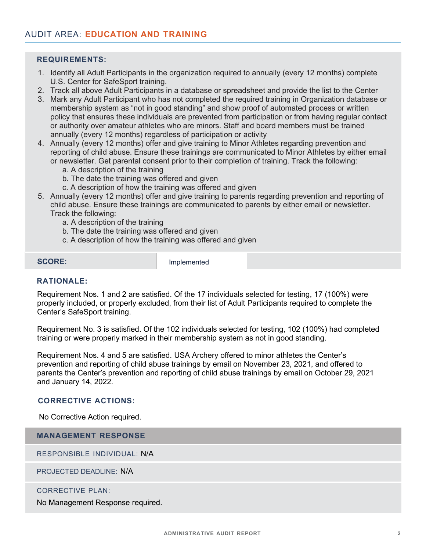- 1. Identify all Adult Participants in the organization required to annually (every 12 months) complete U.S. Center for SafeSport training.
- 2. Track all above Adult Participants in a database or spreadsheet and provide the list to the Center
- 3. Mark any Adult Participant who has not completed the required training in Organization database or membership system as "not in good standing" and show proof of automated process or written policy that ensures these individuals are prevented from participation or from having regular contact or authority over amateur athletes who are minors. Staff and board members must be trained annually (every 12 months) regardless of participation or activity
- 4. Annually (every 12 months) offer and give training to Minor Athletes regarding prevention and reporting of child abuse. Ensure these trainings are communicated to Minor Athletes by either email or newsletter. Get parental consent prior to their completion of training. Track the following:
	- a. A description of the training
	- b. The date the training was offered and given
	- c. A description of how the training was offered and given
- 5. Annually (every 12 months) offer and give training to parents regarding prevention and reporting of child abuse. Ensure these trainings are communicated to parents by either email or newsletter. Track the following:
	- a. A description of the training
	- b. The date the training was offered and given
	- c. A description of how the training was offered and given

**SCORE:** Implemented

# **RATIONALE:**

Requirement Nos. 1 and 2 are satisfied. Of the 17 individuals selected for testing, 17 (100%) were properly included, or properly excluded, from their list of Adult Participants required to complete the Center's SafeSport training.

Requirement No. 3 is satisfied. Of the 102 individuals selected for testing, 102 (100%) had completed training or were properly marked in their membership system as not in good standing.

Requirement Nos. 4 and 5 are satisfied. USA Archery offered to minor athletes the Center's prevention and reporting of child abuse trainings by email on November 23, 2021, and offered to parents the Center's prevention and reporting of child abuse trainings by email on October 29, 2021 and January 14, 2022.

#### **CORRECTIVE ACTIONS:**

No Corrective Action required.

**MANAGEMENT RESPONSE**

RESPONSIBLE INDIVIDUAL: N/A

PROJECTED DEADLINE: N/A

#### CORRECTIVE PLAN: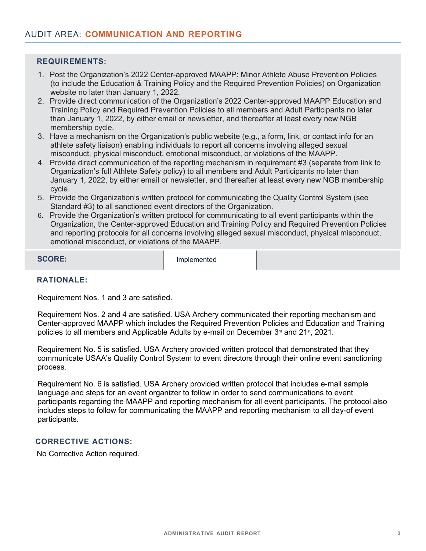- 1. Post the Organization's 2022 Center-approved MAAPP: Minor Athlete Abuse Prevention Policies (to include the Education & Training Policy and the Required Prevention Policies) on Organization website no later than January 1, 2022.
- 2. Provide direct communication of the Organization's 2022 Center-approved MAAPP Education and Training Policy and Required Prevention Policies to all members and Adult Participants no later than January 1, 2022, by either email or newsletter, and thereafter at least every new NGB membership cycle.
- 3. Have a mechanism on the Organization's public website (e.g., a form, link, or contact info for an athlete safety liaison) enabling individuals to report all concerns involving alleged sexual misconduct, physical misconduct, emotional misconduct, or violations of the MAAPP.
- 4. Provide direct communication of the reporting mechanism in requirement #3 (separate from link to Organization's full Athlete Safety policy) to all members and Adult Participants no later than January 1, 2022, by either email or newsletter, and thereafter at least every new NGB membership cycle.
- 5. Provide the Organization's written protocol for communicating the Quality Control System (see Standard #3) to all sanctioned event directors of the Organization.
- 6. Provide the Organization's written protocol for communicating to all event participants within the Organization, the Center-approved Education and Training Policy and Required Prevention Policies and reporting protocols for all concerns involving alleged sexual misconduct, physical misconduct, emotional misconduct, or violations of the MAAPP.

**SCORE:** Implemented

# **RATIONALE:**

Requirement Nos. 1 and 3 are satisfied.

Requirement Nos. 2 and 4 are satisfied. USA Archery communicated their reporting mechanism and Center-approved MAAPP which includes the Required Prevention Policies and Education and Training policies to all members and Applicable Adults by e-mail on December  $3<sup>d</sup>$  and  $21<sup>st</sup>$ , 2021.

Requirement No. 5 is satisfied. USA Archery provided written protocol that demonstrated that they communicate USAA's Quality Control System to event directors through their online event sanctioning process.

Requirement No. 6 is satisfied. USA Archery provided written protocol that includes e-mail sample language and steps for an event organizer to follow in order to send communications to event participants regarding the MAAPP and reporting mechanism for all event participants. The protocol also includes steps to follow for communicating the MAAPP and reporting mechanism to all day-of event participants.

### **CORRECTIVE ACTIONS:**

No Corrective Action required.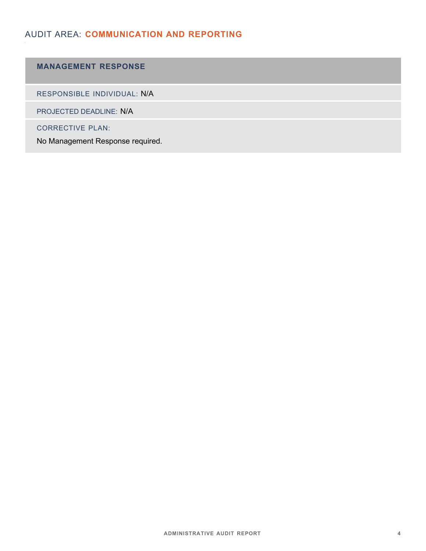# AUDIT AREA: **COMMUNICATION AND REPORTING**

# **MANAGEMENT RESPONSE**

RESPONSIBLE INDIVIDUAL: N/A

PROJECTED DEADLINE: N/A

CORRECTIVE PLAN: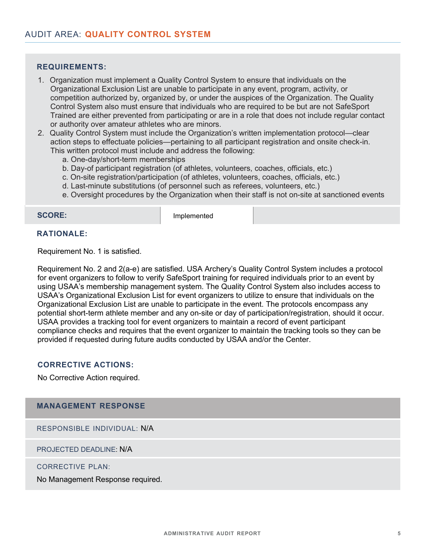- 1. Organization must implement a Quality Control System to ensure that individuals on the Organizational Exclusion List are unable to participate in any event, program, activity, or competition authorized by, organized by, or under the auspices of the Organization. The Quality Control System also must ensure that individuals who are required to be but are not SafeSport Trained are either prevented from participating or are in a role that does not include regular contact or authority over amateur athletes who are minors.
- 2. Quality Control System must include the Organization's written implementation protocol—clear action steps to effectuate policies—pertaining to all participant registration and onsite check-in. This written protocol must include and address the following:
	- a. One-day/short-term memberships
	- b. Day-of participant registration (of athletes, volunteers, coaches, officials, etc.)
	- c. On-site registration/participation (of athletes, volunteers, coaches, officials, etc.)
	- d. Last-minute substitutions (of personnel such as referees, volunteers, etc.)
	- e. Oversight procedures by the Organization when their staff is not on-site at sanctioned events

**SCORE:** Implemented

#### **RATIONALE:**

Requirement No. 1 is satisfied.

Requirement No. 2 and 2(a-e) are satisfied. USA Archery's Quality Control System includes a protocol for event organizers to follow to verify SafeSport training for required individuals prior to an event by using USAA's membership management system. The Quality Control System also includes access to USAA's Organizational Exclusion List for event organizers to utilize to ensure that individuals on the Organizational Exclusion List are unable to participate in the event. The protocols encompass any potential short-term athlete member and any on-site or day of participation/registration, should it occur. USAA provides a tracking tool for event organizers to maintain a record of event participant compliance checks and requires that the event organizer to maintain the tracking tools so they can be provided if requested during future audits conducted by USAA and/or the Center.

# **CORRECTIVE ACTIONS:**

No Corrective Action required.

## **MANAGEMENT RESPONSE**

RESPONSIBLE INDIVIDUAL: N/A

PROJECTED DEADLINE: N/A

#### CORRECTIVE PLAN: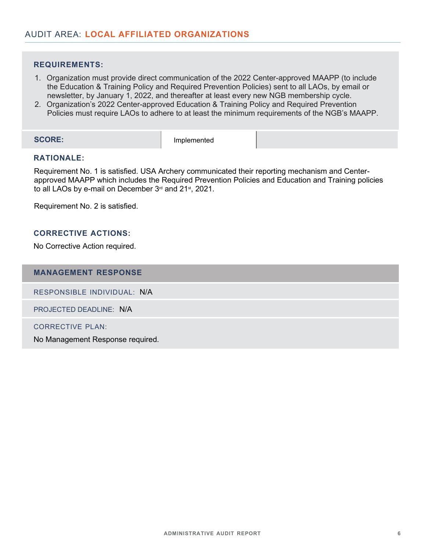- 1. Organization must provide direct communication of the 2022 Center-approved MAAPP (to include the Education & Training Policy and Required Prevention Policies) sent to all LAOs, by email or newsletter, by January 1, 2022, and thereafter at least every new NGB membership cycle.
- 2. Organization's 2022 Center-approved Education & Training Policy and Required Prevention Policies must require LAOs to adhere to at least the minimum requirements of the NGB's MAAPP.

**SCORE:** Implemented

### **RATIONALE:**

Requirement No. 1 is satisfied. USA Archery communicated their reporting mechanism and Centerapproved MAAPP which includes the Required Prevention Policies and Education and Training policies to all LAOs by e-mail on December 3<sup>rd</sup> and 21<sup>st</sup>, 2021.

Requirement No. 2 is satisfied.

# **CORRECTIVE ACTIONS:**

No Corrective Action required.

### **MANAGEMENT RESPONSE**

RESPONSIBLE INDIVIDUAL: N/A

PROJECTED DEADLINE: N/A

CORRECTIVE PLAN: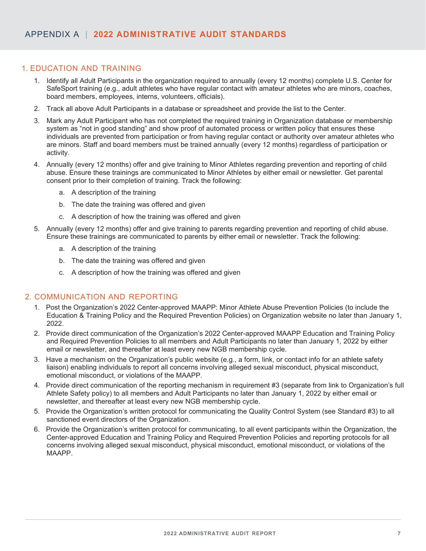# 1. EDUCATION AND TRAINING

- 1. Identify all Adult Participants in the organization required to annually (every 12 months) complete U.S. Center for SafeSport training (e.g., adult athletes who have regular contact with amateur athletes who are minors, coaches, board members, employees, interns, volunteers, officials).
- 2. Track all above Adult Participants in a database or spreadsheet and provide the list to the Center.
- 3. Mark any Adult Participant who has not completed the required training in Organization database or membership system as "not in good standing" and show proof of automated process or written policy that ensures these individuals are prevented from participation or from having regular contact or authority over amateur athletes who are minors. Staff and board members must be trained annually (every 12 months) regardless of participation or activity.
- 4. Annually (every 12 months) offer and give training to Minor Athletes regarding prevention and reporting of child abuse. Ensure these trainings are communicated to Minor Athletes by either email or newsletter. Get parental consent prior to their completion of training. Track the following:
	- a. A description of the training
	- b. The date the training was offered and given
	- c. A description of how the training was offered and given
- 5. Annually (every 12 months) offer and give training to parents regarding prevention and reporting of child abuse. Ensure these trainings are communicated to parents by either email or newsletter. Track the following:
	- a. A description of the training
	- b. The date the training was offered and given
	- c. A description of how the training was offered and given

# 2. COMMUNICATION AND REPORTING

- 1. Post the Organization's 2022 Center-approved MAAPP: Minor Athlete Abuse Prevention Policies (to include the Education & Training Policy and the Required Prevention Policies) on Organization website no later than January 1, 2022.
- 2. Provide direct communication of the Organization's 2022 Center-approved MAAPP Education and Training Policy and Required Prevention Policies to all members and Adult Participants no later than January 1, 2022 by either email or newsletter, and thereafter at least every new NGB membership cycle.
- 3. Have a mechanism on the Organization's public website (e.g., a form, link, or contact info for an athlete safety liaison) enabling individuals to report all concerns involving alleged sexual misconduct, physical misconduct, emotional misconduct, or violations of the MAAPP.
- 4. Provide direct communication of the reporting mechanism in requirement #3 (separate from link to Organization's full Athlete Safety policy) to all members and Adult Participants no later than January 1, 2022 by either email or newsletter, and thereafter at least every new NGB membership cycle.
- 5. Provide the Organization's written protocol for communicating the Quality Control System (see Standard #3) to all sanctioned event directors of the Organization.
- 6. Provide the Organization's written protocol for communicating, to all event participants within the Organization, the Center-approved Education and Training Policy and Required Prevention Policies and reporting protocols for all concerns involving alleged sexual misconduct, physical misconduct, emotional misconduct, or violations of the MAAPP.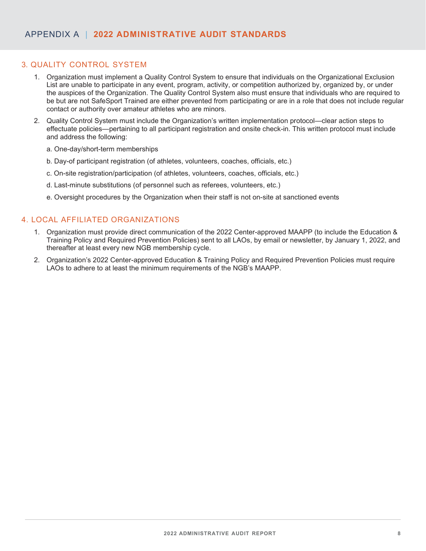# 3. QUALITY CONTROL SYSTEM

- 1. Organization must implement a Quality Control System to ensure that individuals on the Organizational Exclusion List are unable to participate in any event, program, activity, or competition authorized by, organized by, or under the auspices of the Organization. The Quality Control System also must ensure that individuals who are required to be but are not SafeSport Trained are either prevented from participating or are in a role that does not include regular contact or authority over amateur athletes who are minors.
- 2. Quality Control System must include the Organization's written implementation protocol—clear action steps to effectuate policies—pertaining to all participant registration and onsite check-in. This written protocol must include and address the following:
	- a. One-day/short-term memberships
	- b. Day-of participant registration (of athletes, volunteers, coaches, officials, etc.)
	- c. On-site registration/participation (of athletes, volunteers, coaches, officials, etc.)
	- d. Last-minute substitutions (of personnel such as referees, volunteers, etc.)
	- e. Oversight procedures by the Organization when their staff is not on-site at sanctioned events

### 4. LOCAL AFFILIATED ORGANIZATIONS

- 1. Organization must provide direct communication of the 2022 Center-approved MAAPP (to include the Education & Training Policy and Required Prevention Policies) sent to all LAOs, by email or newsletter, by January 1, 2022, and thereafter at least every new NGB membership cycle.
- 2. Organization's 2022 Center-approved Education & Training Policy and Required Prevention Policies must require LAOs to adhere to at least the minimum requirements of the NGB's MAAPP.